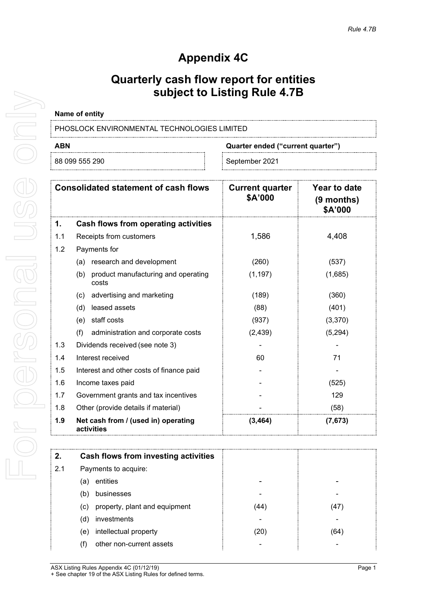# **Appendix 4C**

## **Quarterly cash flow report for entities subject to Listing Rule 4.7B**

### **Name of entity**

PHOSLOCK ENVIRONMENTAL TECHNOLOGIES LIMITED

88 099 555 290 September 2021

**ABN Quarter ended ("current quarter")**

| <b>Consolidated statement of cash flows</b> |                                                     | <b>Current quarter</b><br>\$A'000 | Year to date<br>$(9$ months)<br>\$A'000 |
|---------------------------------------------|-----------------------------------------------------|-----------------------------------|-----------------------------------------|
| 1.                                          | Cash flows from operating activities                |                                   |                                         |
| 1.1                                         | Receipts from customers                             | 1,586                             | 4,408                                   |
| 1.2                                         | Payments for                                        |                                   |                                         |
|                                             | research and development<br>(a)                     | (260)                             | (537)                                   |
|                                             | product manufacturing and operating<br>(b)<br>costs | (1, 197)                          | (1,685)                                 |
|                                             | advertising and marketing<br>(c)                    | (189)                             | (360)                                   |
|                                             | leased assets<br>(d)                                | (88)                              | (401)                                   |
|                                             | staff costs<br>(e)                                  | (937)                             | (3,370)                                 |
|                                             | (f)<br>administration and corporate costs           | (2, 439)                          | (5,294)                                 |
| 1.3                                         | Dividends received (see note 3)                     |                                   |                                         |
| 1.4                                         | Interest received                                   | 60                                | 71                                      |
| 1.5                                         | Interest and other costs of finance paid            |                                   |                                         |
| 1.6                                         | Income taxes paid                                   |                                   | (525)                                   |
| 1.7                                         | Government grants and tax incentives                |                                   | 129                                     |
| 1.8                                         | Other (provide details if material)                 |                                   | (58)                                    |
| 1.9                                         | Net cash from / (used in) operating<br>activities   | (3, 464)                          | (7, 673)                                |

| 2.  | Cash flows from investing activities |     |               |
|-----|--------------------------------------|-----|---------------|
| 2.1 | Payments to acquire:                 |     |               |
|     | entities<br>a,                       |     |               |
|     | businesses<br>(b)                    |     |               |
|     | property, plant and equipment<br>(c) | 44  |               |
|     | investments<br>(d)                   |     |               |
|     | intellectual property<br>(e)         | 20' | <sup>64</sup> |
|     | other non-current assets             |     |               |

ASX Listing Rules Appendix 4C (01/12/19) **Page 1** + See chapter 19 of the ASX Listing Rules for defined terms.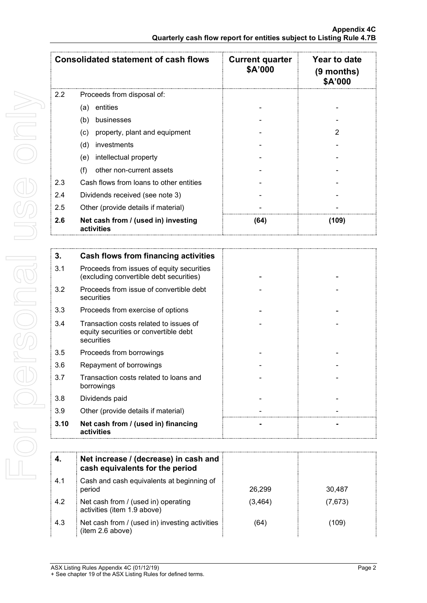| <b>Consolidated statement of cash flows</b> |                                                   | <b>Current quarter</b><br>\$A'000 | Year to date<br>$(9$ months)<br><b>\$A'000</b> |
|---------------------------------------------|---------------------------------------------------|-----------------------------------|------------------------------------------------|
| $2.2^{\circ}$                               | Proceeds from disposal of:                        |                                   |                                                |
|                                             | entities<br>(a)                                   |                                   |                                                |
|                                             | (b)<br>businesses                                 |                                   |                                                |
|                                             | (c)<br>property, plant and equipment              |                                   |                                                |
|                                             | investments<br>(d)                                |                                   |                                                |
|                                             | intellectual property<br>(e)                      |                                   |                                                |
|                                             | other non-current assets<br>(f)                   |                                   |                                                |
| 2.3                                         | Cash flows from loans to other entities           |                                   |                                                |
| 2.4                                         | Dividends received (see note 3)                   |                                   |                                                |
| 2.5                                         | Other (provide details if material)               |                                   |                                                |
| 2.6                                         | Net cash from / (used in) investing<br>activities | (64)                              | (109)                                          |

| 3.   | Cash flows from financing activities                                                          |  |
|------|-----------------------------------------------------------------------------------------------|--|
| 3.1  | Proceeds from issues of equity securities<br>(excluding convertible debt securities)          |  |
| 3.2  | Proceeds from issue of convertible debt<br>securities                                         |  |
| 3.3  | Proceeds from exercise of options                                                             |  |
| 3.4  | Transaction costs related to issues of<br>equity securities or convertible debt<br>securities |  |
| 3.5  | Proceeds from borrowings                                                                      |  |
| 3.6  | Repayment of borrowings                                                                       |  |
| 3.7  | Transaction costs related to loans and<br>borrowings                                          |  |
| 3.8  | Dividends paid                                                                                |  |
| 3.9  | Other (provide details if material)                                                           |  |
| 3.10 | Net cash from / (used in) financing<br>activities                                             |  |

|     | Net increase / (decrease) in cash and<br>cash equivalents for the period |         |         |
|-----|--------------------------------------------------------------------------|---------|---------|
| 4.1 | Cash and cash equivalents at beginning of<br>period                      | 26.299  | 30.487  |
| 4.2 | Net cash from / (used in) operating<br>activities (item 1.9 above)       | (3,464) | (7,673) |
| 4.3 | Net cash from / (used in) investing activities<br>(item 2.6 above)       | 64      | (109)   |

ASX Listing Rules Appendix 4C (01/12/19) Page 2 + See chapter 19 of the ASX Listing Rules for defined terms.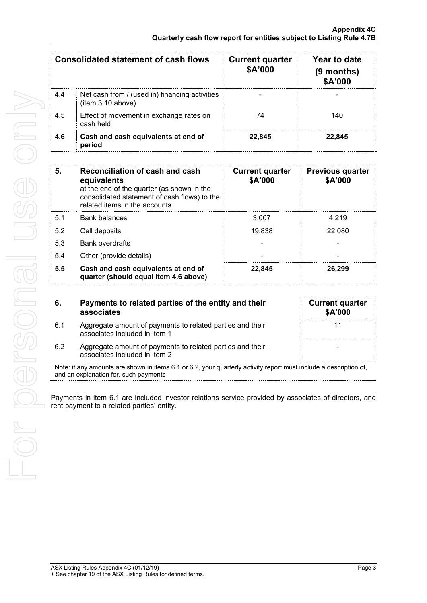| Consolidated statement of cash flows |                                                                     | <b>Current quarter</b><br>\$A'000 | Year to date<br>(9 months)<br>\$A'000 |
|--------------------------------------|---------------------------------------------------------------------|-----------------------------------|---------------------------------------|
| 4.4                                  | Net cash from / (used in) financing activities<br>(item 3.10 above) |                                   |                                       |
| 4.5                                  | Effect of movement in exchange rates on<br>cash held                | 74                                | 140                                   |
| 4.6                                  | Cash and cash equivalents at end of<br>period                       | 22.845                            | 22.845                                |

| 5.  | Reconciliation of cash and cash<br>equivalents<br>at the end of the quarter (as shown in the<br>consolidated statement of cash flows) to the<br>related items in the accounts | <b>Current quarter</b><br>\$A'000 | <b>Previous quarter</b><br>\$A'000 |
|-----|-------------------------------------------------------------------------------------------------------------------------------------------------------------------------------|-----------------------------------|------------------------------------|
| 5.1 | Bank balances                                                                                                                                                                 | 3.007                             | 4.219                              |
| 5.2 | Call deposits                                                                                                                                                                 | 19.838                            | 22,080                             |
| 5.3 | <b>Bank overdrafts</b>                                                                                                                                                        |                                   |                                    |
| 5.4 | Other (provide details)                                                                                                                                                       |                                   |                                    |
| 5.5 | Cash and cash equivalents at end of<br>quarter (should equal item 4.6 above)                                                                                                  | 22.845                            | 26.299                             |

**6. Payments to related parties of the entity and their associates**

6.1 Aggregate amount of payments to related parties and their

associates included in item 1

| <b>Current quarter</b><br>\$A'000 |    |  |
|-----------------------------------|----|--|
|                                   | 11 |  |
|                                   |    |  |
|                                   |    |  |

6.2 Aggregate amount of payments to related parties and their associates included in item 2

Note: if any amounts are shown in items 6.1 or 6.2, your quarterly activity report must include a description of, and an explanation for, such payments

Payments in item 6.1 are included investor relations service provided by associates of directors, and rent payment to a related parties' entity.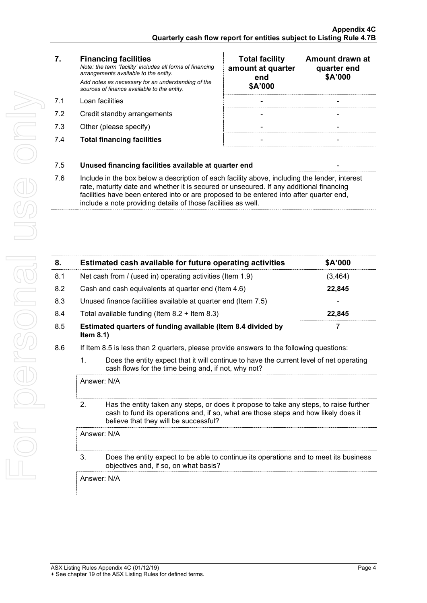For personal use only For personal use ond

### **7. Financing facilities**

*Note: the term "facility' includes all forms of financing arrangements available to the entity. Add notes as necessary for an understanding of the sources of finance available to the entity.*

- 7.1 Loan facilities
- 7.2 Credit standby arrangements
- 7.3 Other (please specify)
- 7.4 **Total financing facilities** -

| <b>Total facility</b><br>amount at quarter<br>end<br>\$A'000 | Amount drawn at<br>quarter end<br>\$A'000 |
|--------------------------------------------------------------|-------------------------------------------|
|                                                              |                                           |
|                                                              |                                           |
|                                                              |                                           |
|                                                              |                                           |

### 7.5 **Unused financing facilities available at quarter end** -

7.6 Include in the box below a description of each facility above, including the lender, interest rate, maturity date and whether it is secured or unsecured. If any additional financing facilities have been entered into or are proposed to be entered into after quarter end, include a note providing details of those facilities as well.

|     | Estimated cash available for future operating activities                     | <b>SA'000</b> |
|-----|------------------------------------------------------------------------------|---------------|
| 8.1 | Net cash from / (used in) operating activities (Item 1.9)                    | 3.464         |
| 8.2 | Cash and cash equivalents at quarter end (Item 4.6)                          | 22.845        |
| 8.3 | Unused finance facilities available at quarter end (Item 7.5)                |               |
| 8.4 | Total available funding (Item $8.2 +$ Item $8.3$ )                           | 22.845        |
| 8.5 | Estimated quarters of funding available (Item 8.4 divided by<br>Item $8.1$ ) |               |

- 8.6 If Item 8.5 is less than 2 quarters, please provide answers to the following questions:
	- 1. Does the entity expect that it will continue to have the current level of net operating cash flows for the time being and, if not, why not?

Answer: N/A

2. Has the entity taken any steps, or does it propose to take any steps, to raise further cash to fund its operations and, if so, what are those steps and how likely does it believe that they will be successful?

Answer: N/A

3. Does the entity expect to be able to continue its operations and to meet its business objectives and, if so, on what basis?

Answer: N/A